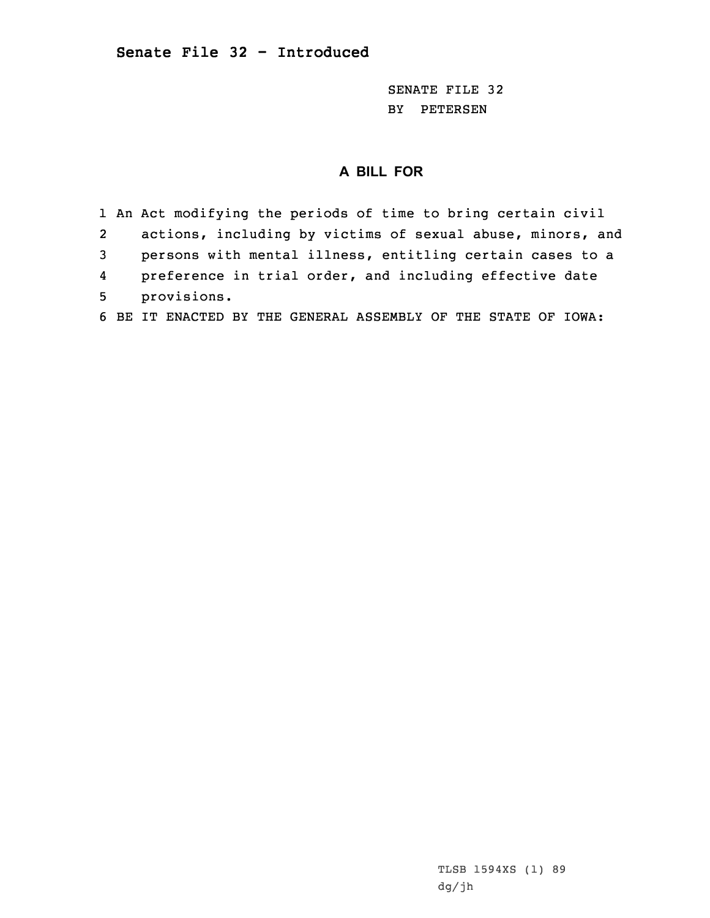SENATE FILE 32 BY PETERSEN

## **A BILL FOR**

1 An Act modifying the periods of time to bring certain civil 2 actions, including by victims of sexual abuse, minors, and 3 persons with mental illness, entitling certain cases to <sup>a</sup> 4 preference in trial order, and including effective date 5 provisions. 6 BE IT ENACTED BY THE GENERAL ASSEMBLY OF THE STATE OF IOWA: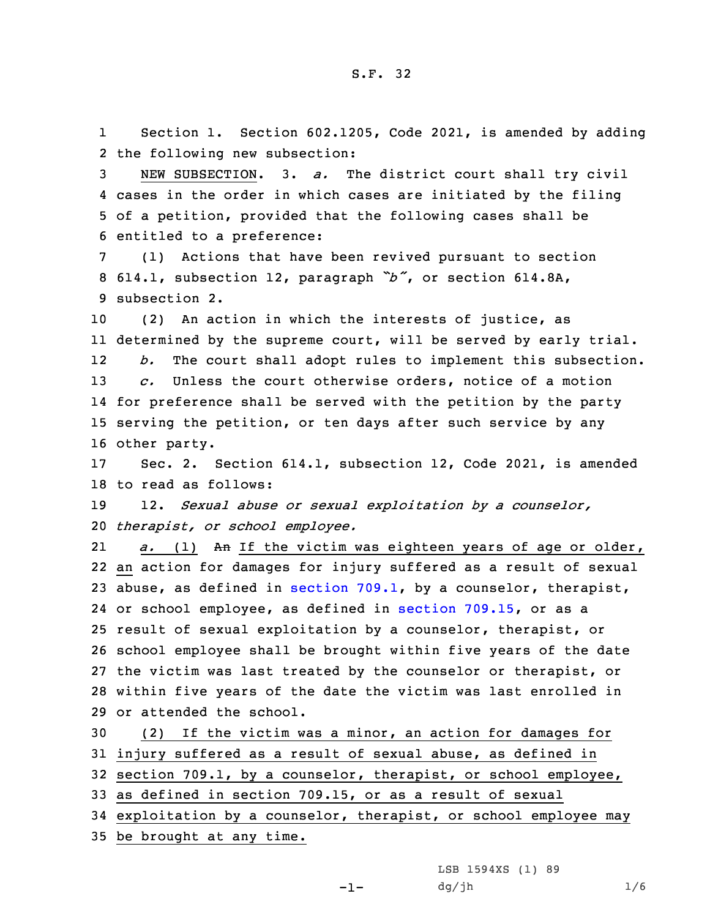1 Section 1. Section 602.1205, Code 2021, is amended by adding 2 the following new subsection:

 NEW SUBSECTION. 3. *a.* The district court shall try civil cases in the order in which cases are initiated by the filing of <sup>a</sup> petition, provided that the following cases shall be entitled to <sup>a</sup> preference:

7 (1) Actions that have been revived pursuant to section <sup>8</sup> 614.1, subsection 12, paragraph *"b"*, or section 614.8A, 9 subsection 2.

 (2) An action in which the interests of justice, as determined by the supreme court, will be served by early trial. 12 *b.* The court shall adopt rules to implement this subsection. *c.* Unless the court otherwise orders, notice of <sup>a</sup> motion for preference shall be served with the petition by the party serving the petition, or ten days after such service by any other party.

17 Sec. 2. Section 614.1, subsection 12, Code 2021, is amended 18 to read as follows:

19 12. *Sexual abuse or sexual exploitation by <sup>a</sup> counselor,* 20 *therapist, or school employee.*

21 *a.* (1) An If the victim was eighteen years of age or older, an action for damages for injury suffered as <sup>a</sup> result of sexual abuse, as defined in [section](https://www.legis.iowa.gov/docs/code/2021/709.1.pdf) 709.1, by <sup>a</sup> counselor, therapist, or school employee, as defined in section [709.15](https://www.legis.iowa.gov/docs/code/2021/709.15.pdf), or as <sup>a</sup> result of sexual exploitation by <sup>a</sup> counselor, therapist, or school employee shall be brought within five years of the date the victim was last treated by the counselor or therapist, or within five years of the date the victim was last enrolled in or attended the school.

 (2) If the victim was <sup>a</sup> minor, an action for damages for injury suffered as <sup>a</sup> result of sexual abuse, as defined in section 709.1, by <sup>a</sup> counselor, therapist, or school employee, as defined in section 709.15, or as <sup>a</sup> result of sexual exploitation by <sup>a</sup> counselor, therapist, or school employee may be brought at any time.

-1-

LSB 1594XS (1) 89  $dg/jh$  1/6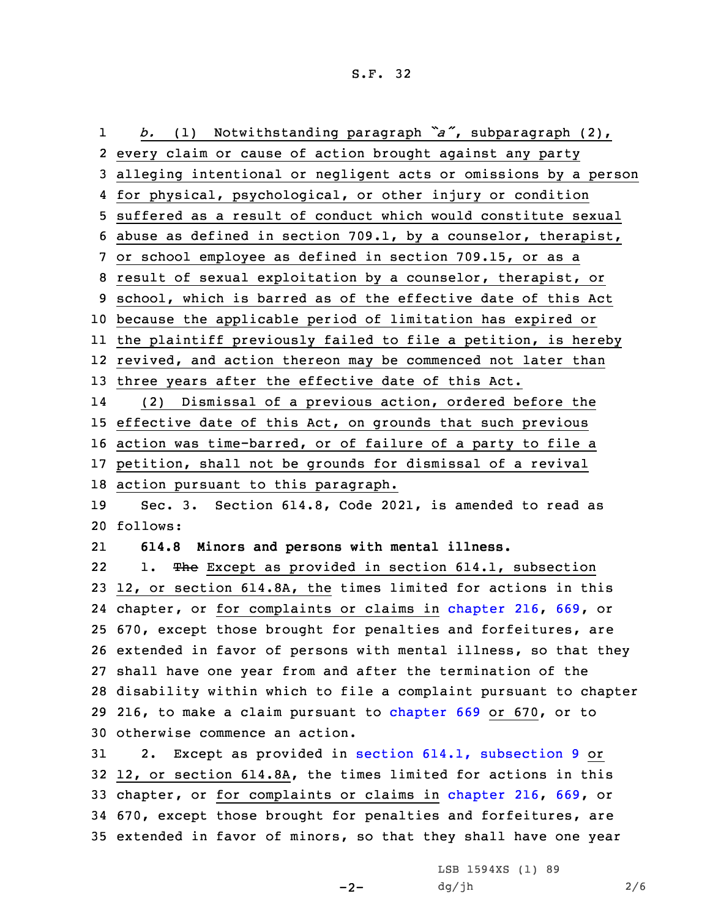## S.F. 32

1 *b.* (1) Notwithstanding paragraph *"a"*, subparagraph (2), every claim or cause of action brought against any party alleging intentional or negligent acts or omissions by <sup>a</sup> person for physical, psychological, or other injury or condition suffered as <sup>a</sup> result of conduct which would constitute sexual abuse as defined in section 709.1, by <sup>a</sup> counselor, therapist, or school employee as defined in section 709.15, or as <sup>a</sup> result of sexual exploitation by <sup>a</sup> counselor, therapist, or school, which is barred as of the effective date of this Act because the applicable period of limitation has expired or the plaintiff previously failed to file <sup>a</sup> petition, is hereby revived, and action thereon may be commenced not later than three years after the effective date of this Act. 14 (2) Dismissal of <sup>a</sup> previous action, ordered before the effective date of this Act, on grounds that such previous action was time-barred, or of failure of <sup>a</sup> party to file <sup>a</sup> petition, shall not be grounds for dismissal of <sup>a</sup> revival action pursuant to this paragraph. Sec. 3. Section 614.8, Code 2021, is amended to read as 20 follows: 21 **614.8 Minors and persons with mental illness.** 221. The Except as provided in section 614.1, subsection 12, or section 614.8A, the times limited for actions in this chapter, or for complaints or claims in [chapter](https://www.legis.iowa.gov/docs/code/2021/216.pdf) 216, [669](https://www.legis.iowa.gov/docs/code/2021/669.pdf), or 670, except those brought for penalties and forfeitures, are extended in favor of persons with mental illness, so that they shall have one year from and after the termination of the disability within which to file <sup>a</sup> complaint pursuant to chapter 216, to make <sup>a</sup> claim pursuant to [chapter](https://www.legis.iowa.gov/docs/code/2021/669.pdf) 669 or 670, or to otherwise commence an action. 2. Except as provided in section 614.1, [subsection](https://www.legis.iowa.gov/docs/code/2021/614.1.pdf) 9 or 12, or section 614.8A, the times limited for actions in this chapter, or for complaints or claims in [chapter](https://www.legis.iowa.gov/docs/code/2021/216.pdf) 216, [669](https://www.legis.iowa.gov/docs/code/2021/669.pdf), or 670, except those brought for penalties and forfeitures, are

LSB 1594XS (1) 89

dg/jh 2/6

 $-2-$ 

35 extended in favor of minors, so that they shall have one year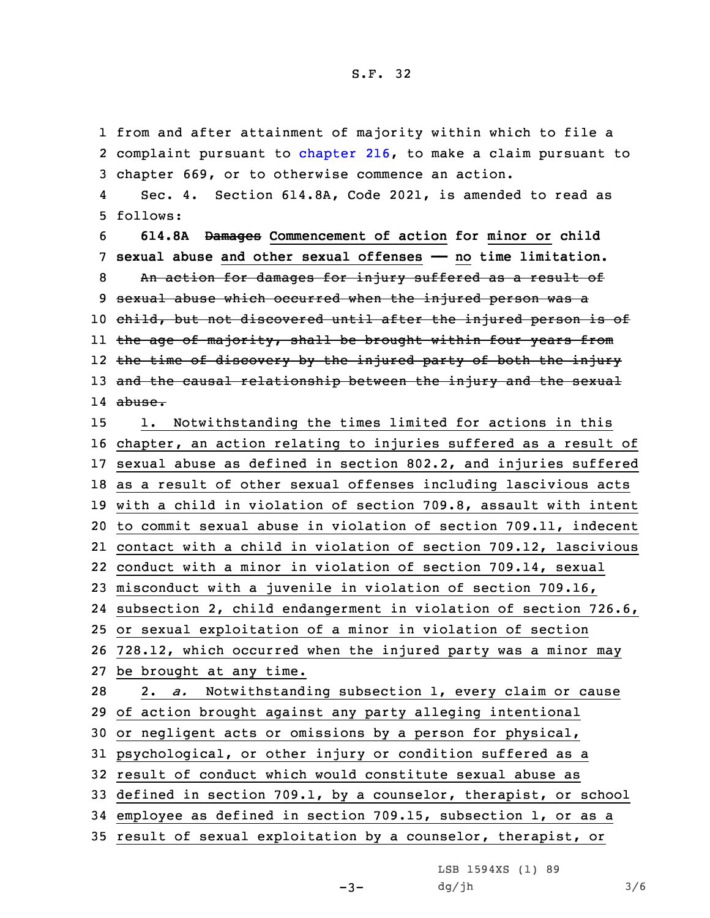1 from and after attainment of majority within which to file <sup>a</sup> 2 complaint pursuant to [chapter](https://www.legis.iowa.gov/docs/code/2021/216.pdf) 216, to make <sup>a</sup> claim pursuant to 3 chapter 669, or to otherwise commence an action.

4 Sec. 4. Section 614.8A, Code 2021, is amended to read as 5 follows:

6 **614.8A Damages Commencement of action for minor or child** 7 **sexual abuse and other sexual offenses —— no time limitation.** 8 An action for damages for injury suffered as a result of 9 sexual abuse which occurred when the injured person was <sup>a</sup> 10 child, but not discovered until after the injured person is of ll <del>the age of majority, shall be brought within four years from</del> 12 the time of discovery by the injured party of both the injury 13 and the causal relationship between the injury and the sexual l4 <del>abuse.</del>

 1. Notwithstanding the times limited for actions in this chapter, an action relating to injuries suffered as <sup>a</sup> result of sexual abuse as defined in section 802.2, and injuries suffered as <sup>a</sup> result of other sexual offenses including lascivious acts with <sup>a</sup> child in violation of section 709.8, assault with intent to commit sexual abuse in violation of section 709.11, indecent contact with <sup>a</sup> child in violation of section 709.12, lascivious conduct with <sup>a</sup> minor in violation of section 709.14, sexual misconduct with <sup>a</sup> juvenile in violation of section 709.16, subsection 2, child endangerment in violation of section 726.6, or sexual exploitation of <sup>a</sup> minor in violation of section 728.12, which occurred when the injured party was <sup>a</sup> minor may be brought at any time. 2. *a.* Notwithstanding subsection 1, every claim or cause of action brought against any party alleging intentional or negligent acts or omissions by <sup>a</sup> person for physical, psychological, or other injury or condition suffered as <sup>a</sup> result of conduct which would constitute sexual abuse as defined in section 709.1, by <sup>a</sup> counselor, therapist, or school employee as defined in section 709.15, subsection 1, or as <sup>a</sup> result of sexual exploitation by <sup>a</sup> counselor, therapist, or

LSB 1594XS (1) 89

 $-3-$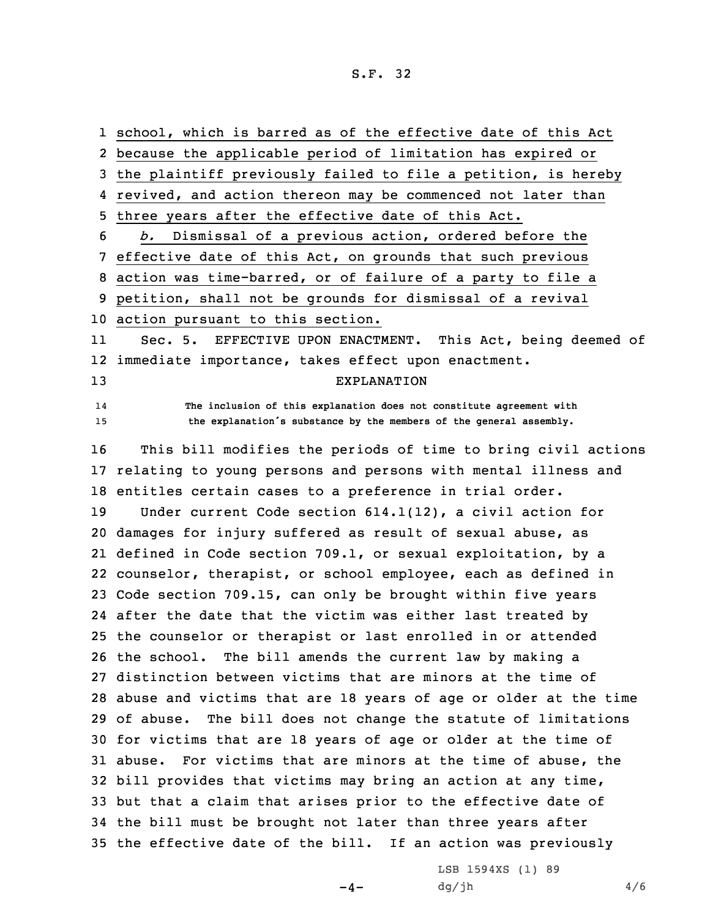S.F. 32

1 school, which is barred as of the effective date of this Act

 because the applicable period of limitation has expired or the plaintiff previously failed to file <sup>a</sup> petition, is hereby revived, and action thereon may be commenced not later than three years after the effective date of this Act. *b.* Dismissal of <sup>a</sup> previous action, ordered before the effective date of this Act, on grounds that such previous action was time-barred, or of failure of <sup>a</sup> party to file <sup>a</sup> petition, shall not be grounds for dismissal of <sup>a</sup> revival action pursuant to this section. 11 Sec. 5. EFFECTIVE UPON ENACTMENT. This Act, being deemed of immediate importance, takes effect upon enactment. EXPLANATION 14 **The inclusion of this explanation does not constitute agreement with the explanation's substance by the members of the general assembly.** This bill modifies the periods of time to bring civil actions relating to young persons and persons with mental illness and entitles certain cases to <sup>a</sup> preference in trial order. Under current Code section 614.1(12), <sup>a</sup> civil action for damages for injury suffered as result of sexual abuse, as defined in Code section 709.1, or sexual exploitation, by <sup>a</sup> counselor, therapist, or school employee, each as defined in Code section 709.15, can only be brought within five years after the date that the victim was either last treated by the counselor or therapist or last enrolled in or attended the school. The bill amends the current law by making <sup>a</sup> distinction between victims that are minors at the time of abuse and victims that are 18 years of age or older at the time of abuse. The bill does not change the statute of limitations for victims that are 18 years of age or older at the time of abuse. For victims that are minors at the time of abuse, the bill provides that victims may bring an action at any time, but that <sup>a</sup> claim that arises prior to the effective date of the bill must be brought not later than three years after the effective date of the bill. If an action was previously LSB 1594XS (1) 89

 $-4-$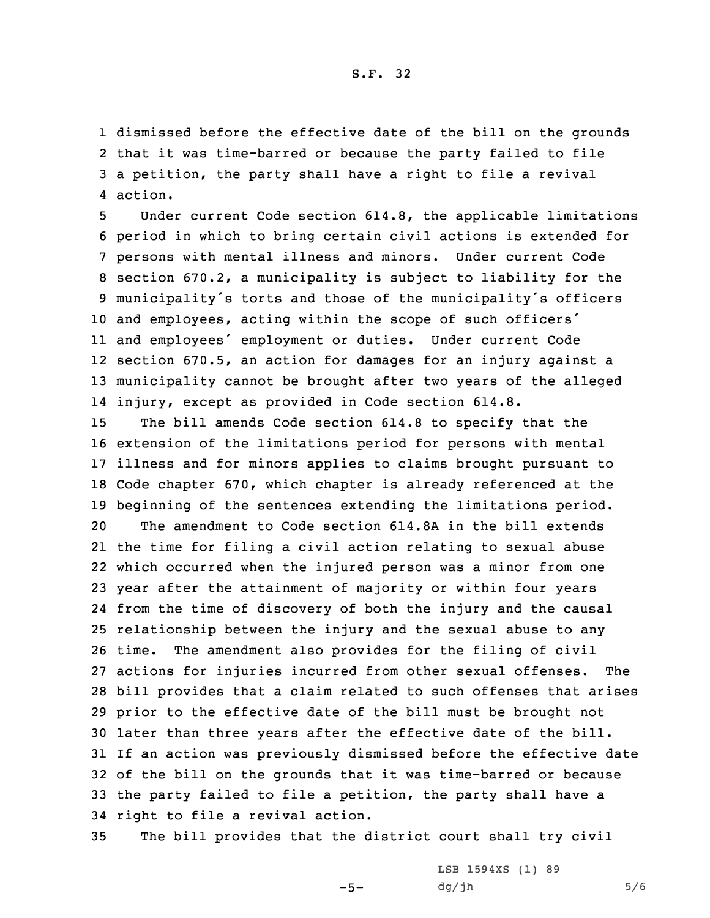dismissed before the effective date of the bill on the grounds that it was time-barred or because the party failed to file <sup>a</sup> petition, the party shall have <sup>a</sup> right to file <sup>a</sup> revival 4 action.

 Under current Code section 614.8, the applicable limitations period in which to bring certain civil actions is extended for persons with mental illness and minors. Under current Code section 670.2, <sup>a</sup> municipality is subject to liability for the municipality's torts and those of the municipality's officers and employees, acting within the scope of such officers' and employees' employment or duties. Under current Code section 670.5, an action for damages for an injury against <sup>a</sup> municipality cannot be brought after two years of the alleged injury, except as provided in Code section 614.8.

 The bill amends Code section 614.8 to specify that the extension of the limitations period for persons with mental illness and for minors applies to claims brought pursuant to Code chapter 670, which chapter is already referenced at the beginning of the sentences extending the limitations period.

 The amendment to Code section 614.8A in the bill extends the time for filing <sup>a</sup> civil action relating to sexual abuse which occurred when the injured person was <sup>a</sup> minor from one year after the attainment of majority or within four years from the time of discovery of both the injury and the causal relationship between the injury and the sexual abuse to any time. The amendment also provides for the filing of civil actions for injuries incurred from other sexual offenses. The bill provides that <sup>a</sup> claim related to such offenses that arises prior to the effective date of the bill must be brought not later than three years after the effective date of the bill. If an action was previously dismissed before the effective date of the bill on the grounds that it was time-barred or because the party failed to file <sup>a</sup> petition, the party shall have <sup>a</sup> right to file <sup>a</sup> revival action.

35 The bill provides that the district court shall try civil

 $-5-$ 

LSB 1594XS (1) 89  $dg/jh$  5/6